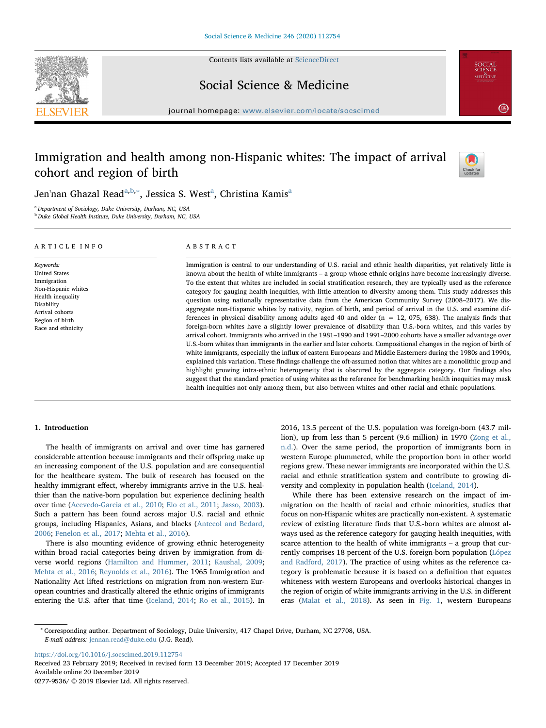

Social Science & Medicine

journal homepage: [www.elsevier.com/locate/socscimed](https://www.elsevier.com/locate/socscimed)

# Immigration and health among non-Hispanic whites: The impact of arrival cohort and region of birth



**SOCIAL**<br>SCIENCE<br>MEDICINE

Jen'nan Ghazal Read<sup>[a,](#page-0-0)[b](#page-0-1),[∗](#page-0-2)</sup>, Jessic[a](#page-0-0) S. West<sup>a</sup>, Christina Kamis<sup>a</sup>

<span id="page-0-0"></span><sup>a</sup> Department of Sociology, Duke University, Durham, NC, USA

<span id="page-0-1"></span><sup>b</sup> Duke Global Health Institute, Duke University, Durham, NC, USA

## ARTICLE INFO

Keywords: United States Immigration Non-Hispanic whites Health inequality Disability Arrival cohorts Region of birth Race and ethnicity

#### ABSTRACT

Immigration is central to our understanding of U.S. racial and ethnic health disparities, yet relatively little is known about the health of white immigrants – a group whose ethnic origins have become increasingly diverse. To the extent that whites are included in social stratification research, they are typically used as the reference category for gauging health inequities, with little attention to diversity among them. This study addresses this question using nationally representative data from the American Community Survey (2008–2017). We disaggregate non-Hispanic whites by nativity, region of birth, and period of arrival in the U.S. and examine differences in physical disability among adults aged 40 and older  $(n = 12, 075, 638)$ . The analysis finds that foreign-born whites have a slightly lower prevalence of disability than U.S.-born whites, and this varies by arrival cohort. Immigrants who arrived in the 1981–1990 and 1991–2000 cohorts have a smaller advantage over U.S.-born whites than immigrants in the earlier and later cohorts. Compositional changes in the region of birth of white immigrants, especially the influx of eastern Europeans and Middle Easterners during the 1980s and 1990s, explained this variation. These findings challenge the oft-assumed notion that whites are a monolithic group and highlight growing intra-ethnic heterogeneity that is obscured by the aggregate category. Our findings also suggest that the standard practice of using whites as the reference for benchmarking health inequities may mask health inequities not only among them, but also between whites and other racial and ethnic populations.

# 1. Introduction

The health of immigrants on arrival and over time has garnered considerable attention because immigrants and their offspring make up an increasing component of the U.S. population and are consequential for the healthcare system. The bulk of research has focused on the healthy immigrant effect, whereby immigrants arrive in the U.S. healthier than the native-born population but experience declining health over time ([Acevedo-Garcia et al., 2010;](#page-7-0) [Elo et al., 2011;](#page-7-1) [Jasso, 2003](#page-8-0)). Such a pattern has been found across major U.S. racial and ethnic groups, including Hispanics, Asians, and blacks [\(Antecol and Bedard,](#page-7-2) [2006;](#page-7-2) [Fenelon et al., 2017;](#page-7-3) [Mehta et al., 2016](#page-8-1)).

There is also mounting evidence of growing ethnic heterogeneity within broad racial categories being driven by immigration from diverse world regions ([Hamilton and Hummer, 2011;](#page-8-2) [Kaushal, 2009](#page-8-3); [Mehta et al., 2016](#page-8-1); [Reynolds et al., 2016](#page-8-4)). The 1965 Immigration and Nationality Act lifted restrictions on migration from non-western European countries and drastically altered the ethnic origins of immigrants entering the U.S. after that time [\(Iceland, 2014;](#page-8-5) [Ro et al., 2015\)](#page-8-6). In 2016, 13.5 percent of the U.S. population was foreign-born (43.7 million), up from less than 5 percent (9.6 million) in 1970 [\(Zong et al.,](#page-8-7) [n.d.](#page-8-7)). Over the same period, the proportion of immigrants born in western Europe plummeted, while the proportion born in other world regions grew. These newer immigrants are incorporated within the U.S. racial and ethnic stratification system and contribute to growing diversity and complexity in population health ([Iceland, 2014](#page-8-5)).

While there has been extensive research on the impact of immigration on the health of racial and ethnic minorities, studies that focus on non-Hispanic whites are practically non-existent. A systematic review of existing literature finds that U.S.-born whites are almost always used as the reference category for gauging health inequities, with scarce attention to the health of white immigrants – a group that currently comprises 18 percent of the U.S. foreign-born population [\(López](#page-8-8) [and Radford, 2017](#page-8-8)). The practice of using whites as the reference category is problematic because it is based on a definition that equates whiteness with western Europeans and overlooks historical changes in the region of origin of white immigrants arriving in the U.S. in different eras [\(Malat et al., 2018](#page-8-9)). As seen in [Fig. 1,](#page-1-0) western Europeans

<https://doi.org/10.1016/j.socscimed.2019.112754>

Received 23 February 2019; Received in revised form 13 December 2019; Accepted 17 December 2019 Available online 20 December 2019 0277-9536/ © 2019 Elsevier Ltd. All rights reserved.

<span id="page-0-2"></span><sup>∗</sup> Corresponding author. Department of Sociology, Duke University, 417 Chapel Drive, Durham, NC 27708, USA. E-mail address: [jennan.read@duke.edu](mailto:jennan.read@duke.edu) (J.G. Read).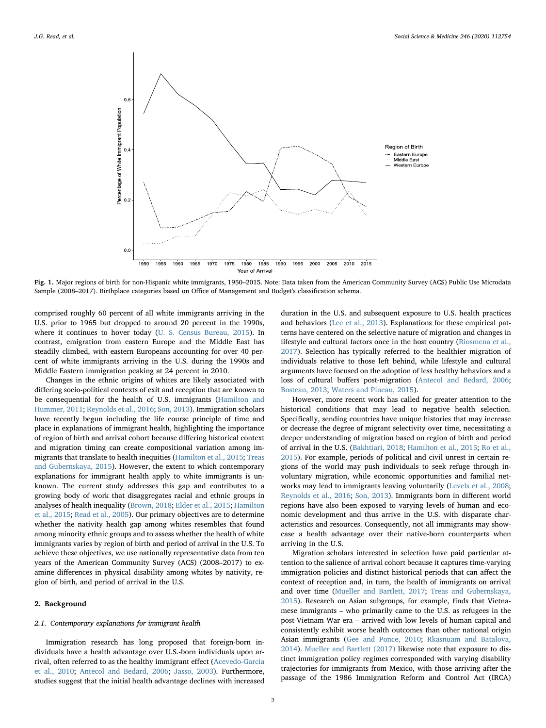<span id="page-1-0"></span>

Fig. 1. Major regions of birth for non-Hispanic white immigrants, 1950–2015. Note: Data taken from the American Community Survey (ACS) Public Use Microdata Sample (2008–2017). Birthplace categories based on Office of Management and Budget's classification schema.

comprised roughly 60 percent of all white immigrants arriving in the U.S. prior to 1965 but dropped to around 20 percent in the 1990s, where it continues to hover today [\(U. S. Census Bureau, 2015](#page-8-10)). In contrast, emigration from eastern Europe and the Middle East has steadily climbed, with eastern Europeans accounting for over 40 percent of white immigrants arriving in the U.S. during the 1990s and Middle Eastern immigration peaking at 24 percent in 2010.

Changes in the ethnic origins of whites are likely associated with differing socio-political contexts of exit and reception that are known to be consequential for the health of U.S. immigrants [\(Hamilton and](#page-8-2) [Hummer, 2011;](#page-8-2) [Reynolds et al., 2016](#page-8-4); [Son, 2013](#page-8-11)). Immigration scholars have recently begun including the life course principle of time and place in explanations of immigrant health, highlighting the importance of region of birth and arrival cohort because differing historical context and migration timing can create compositional variation among immigrants that translate to health inequities [\(Hamilton et al., 2015](#page-8-12); [Treas](#page-8-13) [and Gubernskaya, 2015](#page-8-13)). However, the extent to which contemporary explanations for immigrant health apply to white immigrants is unknown. The current study addresses this gap and contributes to a growing body of work that disaggregates racial and ethnic groups in analyses of health inequality [\(Brown, 2018;](#page-7-4) [Elder et al., 2015](#page-7-5); [Hamilton](#page-8-12) [et al., 2015](#page-8-12); [Read et al., 2005\)](#page-8-14). Our primary objectives are to determine whether the nativity health gap among whites resembles that found among minority ethnic groups and to assess whether the health of white immigrants varies by region of birth and period of arrival in the U.S. To achieve these objectives, we use nationally representative data from ten years of the American Community Survey (ACS) (2008–2017) to examine differences in physical disability among whites by nativity, region of birth, and period of arrival in the U.S.

# 2. Background

# 2.1. Contemporary explanations for immigrant health

Immigration research has long proposed that foreign-born individuals have a health advantage over U.S.-born individuals upon arrival, often referred to as the healthy immigrant effect [\(Acevedo-Garcia](#page-7-0) [et al., 2010;](#page-7-0) [Antecol and Bedard, 2006;](#page-7-2) [Jasso, 2003\)](#page-8-0). Furthermore, studies suggest that the initial health advantage declines with increased

duration in the U.S. and subsequent exposure to U.S. health practices and behaviors [\(Lee et al., 2013](#page-8-15)). Explanations for these empirical patterns have centered on the selective nature of migration and changes in lifestyle and cultural factors once in the host country ([Riosmena et al.,](#page-8-16) [2017\)](#page-8-16). Selection has typically referred to the healthier migration of individuals relative to those left behind, while lifestyle and cultural arguments have focused on the adoption of less healthy behaviors and a loss of cultural buffers post-migration [\(Antecol and Bedard, 2006](#page-7-2); [Bostean, 2013;](#page-7-6) [Waters and Pineau, 2015\)](#page-8-17).

However, more recent work has called for greater attention to the historical conditions that may lead to negative health selection. Specifically, sending countries have unique histories that may increase or decrease the degree of migrant selectivity over time, necessitating a deeper understanding of migration based on region of birth and period of arrival in the U.S. ([Bakhtiari, 2018;](#page-7-7) Hamilton [et al., 2015;](#page-8-12) [Ro et al.,](#page-8-6) [2015\)](#page-8-6). For example, periods of political and civil unrest in certain regions of the world may push individuals to seek refuge through involuntary migration, while economic opportunities and familial networks may lead to immigrants leaving voluntarily [\(Levels et al., 2008](#page-8-18); [Reynolds et al., 2016;](#page-8-4) [Son, 2013\)](#page-8-11). Immigrants born in different world regions have also been exposed to varying levels of human and economic development and thus arrive in the U.S. with disparate characteristics and resources. Consequently, not all immigrants may showcase a health advantage over their native-born counterparts when arriving in the U.S.

Migration scholars interested in selection have paid particular attention to the salience of arrival cohort because it captures time-varying immigration policies and distinct historical periods that can affect the context of reception and, in turn, the health of immigrants on arrival and over time [\(Mueller and Bartlett, 2017;](#page-8-19) [Treas and Gubernskaya,](#page-8-13) [2015\)](#page-8-13). Research on Asian subgroups, for example, finds that Vietnamese immigrants – who primarily came to the U.S. as refugees in the post-Vietnam War era – arrived with low levels of human capital and consistently exhibit worse health outcomes than other national origin Asian immigrants [\(Gee and Ponce, 2010](#page-8-20); [Rkasnuam and Batalova,](#page-8-21) [2014\)](#page-8-21). [Mueller and Bartlett \(2017\)](#page-8-19) likewise note that exposure to distinct immigration policy regimes corresponded with varying disability trajectories for immigrants from Mexico, with those arriving after the passage of the 1986 Immigration Reform and Control Act (IRCA)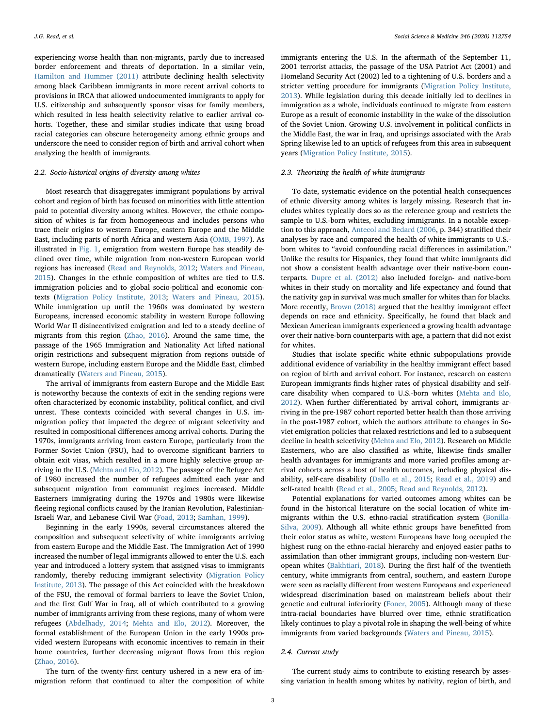experiencing worse health than non-migrants, partly due to increased border enforcement and threats of deportation. In a similar vein, [Hamilton and Hummer \(2011\)](#page-8-2) attribute declining health selectivity among black Caribbean immigrants in more recent arrival cohorts to provisions in IRCA that allowed undocumented immigrants to apply for U.S. citizenship and subsequently sponsor visas for family members, which resulted in less health selectivity relative to earlier arrival cohorts. Together, these and similar studies indicate that using broad racial categories can obscure heterogeneity among ethnic groups and underscore the need to consider region of birth and arrival cohort when analyzing the health of immigrants.

## 2.2. Socio-historical origins of diversity among whites

Most research that disaggregates immigrant populations by arrival cohort and region of birth has focused on minorities with little attention paid to potential diversity among whites. However, the ethnic composition of whites is far from homogeneous and includes persons who trace their origins to western Europe, eastern Europe and the Middle East, including parts of north Africa and western Asia [\(OMB, 1997\)](#page-8-22). As illustrated in [Fig. 1](#page-1-0), emigration from western Europe has steadily declined over time, while migration from non-western European world regions has increased ([Read and Reynolds, 2012](#page-8-23); [Waters and Pineau,](#page-8-17) [2015\)](#page-8-17). Changes in the ethnic composition of whites are tied to U.S. immigration policies and to global socio-political and economic contexts ([Migration Policy Institute, 2013](#page-8-24); [Waters and Pineau, 2015](#page-8-17)). While immigration up until the 1960s was dominated by western Europeans, increased economic stability in western Europe following World War II disincentivized emigration and led to a steady decline of migrants from this region ([Zhao, 2016](#page-8-25)). Around the same time, the passage of the 1965 Immigration and Nationality Act lifted national origin restrictions and subsequent migration from regions outside of western Europe, including eastern Europe and the Middle East, climbed dramatically ([Waters and Pineau, 2015](#page-8-17)).

The arrival of immigrants from eastern Europe and the Middle East is noteworthy because the contexts of exit in the sending regions were often characterized by economic instability, political conflict, and civil unrest. These contexts coincided with several changes in U.S. immigration policy that impacted the degree of migrant selectivity and resulted in compositional differences among arrival cohorts. During the 1970s, immigrants arriving from eastern Europe, particularly from the Former Soviet Union (FSU), had to overcome significant barriers to obtain exit visas, which resulted in a more highly selective group arriving in the U.S. [\(Mehta and Elo, 2012\)](#page-8-26). The passage of the Refugee Act of 1980 increased the number of refugees admitted each year and subsequent migration from communist regimes increased. Middle Easterners immigrating during the 1970s and 1980s were likewise fleeing regional conflicts caused by the Iranian Revolution, Palestinian-Israeli War, and Lebanese Civil War [\(Foad, 2013](#page-8-27); [Samhan, 1999](#page-8-28)).

Beginning in the early 1990s, several circumstances altered the composition and subsequent selectivity of white immigrants arriving from eastern Europe and the Middle East. The Immigration Act of 1990 increased the number of legal immigrants allowed to enter the U.S. each year and introduced a lottery system that assigned visas to immigrants randomly, thereby reducing immigrant selectivity [\(Migration Policy](#page-8-24) [Institute, 2013\)](#page-8-24). The passage of this Act coincided with the breakdown of the FSU, the removal of formal barriers to leave the Soviet Union, and the first Gulf War in Iraq, all of which contributed to a growing number of immigrants arriving from these regions, many of whom were refugees ([Abdelhady, 2014;](#page-7-8) [Mehta and Elo, 2012](#page-8-26)). Moreover, the formal establishment of the European Union in the early 1990s provided western Europeans with economic incentives to remain in their home countries, further decreasing migrant flows from this region ([Zhao,](#page-8-25) 2016).

The turn of the twenty-first century ushered in a new era of immigration reform that continued to alter the composition of white

immigrants entering the U.S. In the aftermath of the September 11, 2001 terrorist attacks, the passage of the USA Patriot Act (2001) and Homeland Security Act (2002) led to a tightening of U.S. borders and a stricter vetting procedure for immigrants ([Migration Policy Institute,](#page-8-24) [2013\)](#page-8-24). While legislation during this decade initially led to declines in immigration as a whole, individuals continued to migrate from eastern Europe as a result of economic instability in the wake of the dissolution of the Soviet Union. Growing U.S. involvement in political conflicts in the Middle East, the war in Iraq, and uprisings associated with the Arab Spring likewise led to an uptick of refugees from this area in subsequent years ([Migration Policy Institute, 2015\)](#page-8-29).

#### 2.3. Theorizing the health of white immigrants

To date, systematic evidence on the potential health consequences of ethnic diversity among whites is largely missing. Research that includes whites typically does so as the reference group and restricts the sample to U.S.-born whites, excluding immigrants. In a notable exception to this approach, [Antecol and Bedard \(2006,](#page-7-2) p. 344) stratified their analyses by race and compared the health of white immigrants to U.S. born whites to "avoid confounding racial differences in assimilation." Unlike the results for Hispanics, they found that white immigrants did not show a consistent health advantage over their native-born counterparts. [Dupre et al. \(2012\)](#page-7-9) also included foreign- and native-born whites in their study on mortality and life expectancy and found that the nativity gap in survival was much smaller for whites than for blacks. More recently, [Brown \(2018\)](#page-7-4) argued that the healthy immigrant effect depends on race and ethnicity. Specifically, he found that black and Mexican American immigrants experienced a growing health advantage over their native-born counterparts with age, a pattern that did not exist for whites.

Studies that isolate specific white ethnic subpopulations provide additional evidence of variability in the healthy immigrant effect based on region of birth and arrival cohort. For instance, research on eastern European immigrants finds higher rates of physical disability and selfcare disability when compared to U.S.-born whites [\(Mehta and Elo,](#page-8-26) [2012\)](#page-8-26). When further differentiated by arrival cohort, immigrants arriving in the pre-1987 cohort reported better health than those arriving in the post-1987 cohort, which the authors attribute to changes in Soviet emigration policies that relaxed restrictions and led to a subsequent decline in health selectivity [\(Mehta and Elo, 2012](#page-8-26)). Research on Middle Easterners, who are also classified as white, likewise finds smaller health advantages for immigrants and more varied profiles among arrival cohorts across a host of health outcomes, including physical disability, self-care disability [\(Dallo et al., 2015](#page-7-10); [Read et al., 2019](#page-8-30)) and self-rated health ([Read et al., 2005](#page-8-14); [Read and Reynolds, 2012\)](#page-8-23).

Potential explanations for varied outcomes among whites can be found in the historical literature on the social location of white immigrants within the U.S. ethno-racial stratification system [\(Bonilla-](#page-7-11)[Silva, 2009\)](#page-7-11). Although all white ethnic groups have benefitted from their color status as white, western Europeans have long occupied the highest rung on the ethno-racial hierarchy and enjoyed easier paths to assimilation than other immigrant groups, including non-western European whites [\(Bakhtiari, 2018\)](#page-7-7). During the first half of the twentieth century, white immigrants from central, southern, and eastern Europe were seen as racially different from western Europeans and experienced widespread discrimination based on mainstream beliefs about their genetic and cultural inferiority ([Foner, 2005\)](#page-8-31). Although many of these intra-racial boundaries have blurred over time, ethnic stratification likely continues to play a pivotal role in shaping the well-being of white immigrants from varied backgrounds [\(Waters and Pineau, 2015\)](#page-8-17).

#### 2.4. Current study

The current study aims to contribute to existing research by assessing variation in health among whites by nativity, region of birth, and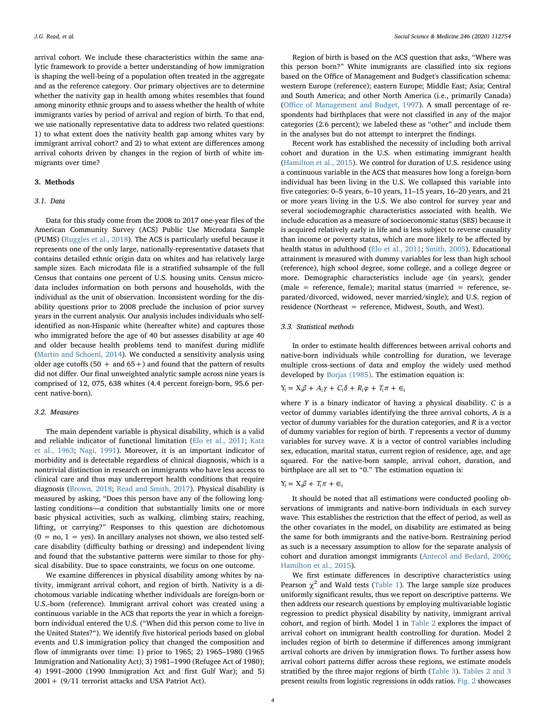arrival cohort. We include these characteristics within the same analytic framework to provide a better understanding of how immigration is shaping the well-being of a population often treated in the aggregate and as the reference category. Our primary objectives are to determine whether the nativity gap in health among whites resembles that found among minority ethnic groups and to assess whether the health of white immigrants varies by period of arrival and region of birth. To that end, we use nationally representative data to address two related questions: 1) to what extent does the nativity health gap among whites vary by immigrant arrival cohort? and 2) to what extent are differences among arrival cohorts driven by changes in the region of birth of white immigrants over time?

# 3. Methods

# 3.1. Data

Data for this study come from the 2008 to 2017 one-year files of the American Community Survey (ACS) Public Use Microdata Sample (PUMS) [\(Ruggles et al., 2018\)](#page-8-32). The ACS is particularly useful because it represents one of the only large, nationally-representative datasets that contains detailed ethnic origin data on whites and has relatively large sample sizes. Each microdata file is a stratified subsample of the full Census that contains one percent of U.S. housing units. Census microdata includes information on both persons and households, with the individual as the unit of observation. Inconsistent wording for the disability questions prior to 2008 preclude the inclusion of prior survey years in the current analysis. Our analysis includes individuals who selfidentified as non-Hispanic white (hereafter white) and captures those who immigrated before the age of 40 but assesses disability at age 40 and older because health problems tend to manifest during midlife ([Martin and Schoeni, 2014](#page-8-33)). We conducted a sensitivity analysis using older age cutoffs  $(50 + and 65+)$  and found that the pattern of results did not differ. Our final unweighted analytic sample across nine years is comprised of 12, 075, 638 whites (4.4 percent foreign-born, 95.6 percent native-born).

#### 3.2. Measures

The main dependent variable is physical disability, which is a valid and reliable indicator of functional limitation [\(Elo et al., 2011](#page-7-1); [Katz](#page-8-34) [et al., 1963;](#page-8-34) [Nagi, 1991](#page-8-35)). Moreover, it is an important indicator of morbidity and is detectable regardless of clinical diagnosis, which is a nontrivial distinction in research on immigrants who have less access to clinical care and thus may underreport health conditions that require diagnosis [\(Brown, 2018](#page-7-4); [Read and Smith, 2017](#page-8-36)). Physical disability is measured by asking, "Does this person have any of the following longlasting conditions—a condition that substantially limits one or more basic physical activities, such as walking, climbing stairs, reaching, lifting, or carrying?" Responses to this question are dichotomous  $(0 = no, 1 = yes)$ . In ancillary analyses not shown, we also tested selfcare disability (difficulty bathing or dressing) and independent living and found that the substantive patterns were similar to those for physical disability. Due to space constraints, we focus on one outcome.

We examine differences in physical disability among whites by nativity, immigrant arrival cohort, and region of birth. Nativity is a dichotomous variable indicating whether individuals are foreign-born or U.S.-born (reference). Immigrant arrival cohort was created using a continuous variable in the ACS that reports the year in which a foreignborn individual entered the U.S. ("When did this person come to live in the United States?"). We identify five historical periods based on global events and U.S immigration policy that changed the composition and flow of immigrants over time: 1) prior to 1965; 2) 1965–1980 (1965 Immigration and Nationality Act); 3) 1981–1990 (Refugee Act of 1980); 4) 1991–2000 (1990 Immigration Act and first Gulf War); and 5) 2001+ (9/11 terrorist attacks and USA Patriot Act).

Region of birth is based on the ACS question that asks, "Where was this person born?" White immigrants are classified into six regions based on the Office of Management and Budget's classification schema: western Europe (reference); eastern Europe; Middle East; Asia; Central and South America; and other North America (i.e., primarily Canada) (Offi[ce of Management and Budget, 1997](#page-8-37)). A small percentage of respondents had birthplaces that were not classified in any of the major categories (2.6 percent); we labeled these as "other" and include them in the analyses but do not attempt to interpret the findings.

Recent work has established the necessity of including both arrival cohort and duration in the U.S. when estimating immigrant health ([Hamilton et al., 2015\)](#page-8-12). We control for duration of U.S. residence using a continuous variable in the ACS that measures how long a foreign-born individual has been living in the U.S. We collapsed this variable into five categories: 0–5 years, 6–10 years, 11–15 years, 16–20 years, and 21 or more years living in the U.S. We also control for survey year and several sociodemographic characteristics associated with health. We include education as a measure of socioeconomic status (SES) because it is acquired relatively early in life and is less subject to reverse causality than income or poverty status, which are more likely to be affected by health status in adulthood [\(Elo et al., 2011;](#page-7-1) [Smith, 2005](#page-8-38)). Educational attainment is measured with dummy variables for less than high school (reference), high school degree, some college, and a college degree or more. Demographic characteristics include age (in years); gender (male = reference, female); marital status (married = reference, separated/divorced, widowed, never married/single); and U.S. region of residence (Northeast = reference, Midwest, South, and West).

#### 3.3. Statistical methods

In order to estimate health differences between arrival cohorts and native-born individuals while controlling for duration, we leverage multiple cross-sections of data and employ the widely used method developed by [Borjas \(1985\)](#page-7-12). The estimation equation is:

$$
Y_i = X_i \beta + A_i \gamma + C_i \delta + R_i \varphi + T_i \pi + \epsilon_i
$$

where Y is a binary indicator of having a physical disability. C is a vector of dummy variables identifying the three arrival cohorts, A is a vector of dummy variables for the duration categories, and R is a vector of dummy variables for region of birth. T represents a vector of dummy variables for survey wave. X is a vector of control variables including sex, education, marital status, current region of residence, age, and age squared. For the native-born sample, arrival cohort, duration, and birthplace are all set to "0." The estimation equation is:

## $Y_i = X_i \beta + T_i \pi + \epsilon_i$

It should be noted that all estimations were conducted pooling observations of immigrants and native-born individuals in each survey wave. This establishes the restriction that the effect of period, as well as the other covariates in the model, on disability are estimated as being the same for both immigrants and the native-born. Restraining period as such is a necessary assumption to allow for the separate analysis of cohort and duration amongst immigrants [\(Antecol and Bedard, 2006](#page-7-2); [Hamilton et al., 2015](#page-8-12)).

We first estimate differences in descriptive characteristics using Pearson  $\chi^2$  and Wald tests ([Table 1](#page-4-0)). The large sample size produces uniformly significant results, thus we report on descriptive patterns. We then address our research questions by employing multivariable logistic regression to predict physical disability by nativity, immigrant arrival cohort, and region of birth. Model 1 in [Table 2](#page-5-0) explores the impact of arrival cohort on immigrant health controlling for duration. Model 2 includes region of birth to determine if differences among immigrant arrival cohorts are driven by immigration flows. To further assess how arrival cohort patterns differ across these regions, we estimate models stratified by the three major regions of birth ([Table 3](#page-5-1)). [Tables 2 and 3](#page-5-0) present results from logistic regressions in odds ratios. [Fig. 2](#page-6-0) showcases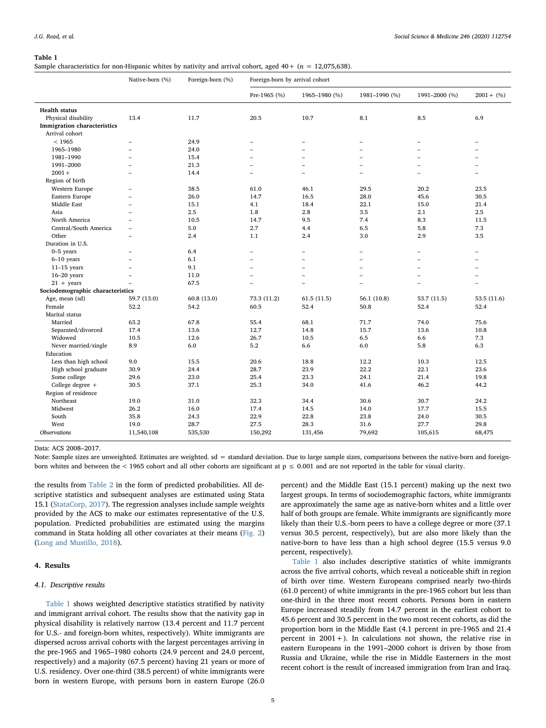#### <span id="page-4-0"></span>Table 1

Sample characteristics for non-Hispanic whites by nativity and arrival cohort, aged  $40 + (n = 12,075,638)$ .

|                                    | Native-born (%)          | Foreign-born (%) | Foreign-born by arrival cohort |                          |                          |                          |                          |
|------------------------------------|--------------------------|------------------|--------------------------------|--------------------------|--------------------------|--------------------------|--------------------------|
|                                    |                          |                  | Pre-1965 (%)                   | 1965-1980 (%)            | 1981-1990 (%)            | 1991-2000 (%)            | $2001 + (%)$             |
| <b>Health status</b>               |                          |                  |                                |                          |                          |                          |                          |
| Physical disability                | 13.4                     | 11.7             | 20.5                           | 10.7                     | 8.1                      | 8.5                      | 6.9                      |
| <b>Immigration</b> characteristics |                          |                  |                                |                          |                          |                          |                          |
| Arrival cohort                     |                          |                  |                                |                          |                          |                          |                          |
| < 1965                             | ÷                        | 24.9             |                                | $\overline{\phantom{0}}$ | -                        | ÷                        | ÷                        |
| 1965-1980                          | $\overline{\phantom{0}}$ | 24.0             | $\overline{\phantom{0}}$       | $\overline{\phantom{m}}$ | $\overline{\phantom{0}}$ | $\overline{\phantom{a}}$ | ÷                        |
| 1981-1990                          | L.                       | 15.4             | ÷                              | $\equiv$                 | $\equiv$                 | $\equiv$                 | ÷                        |
| 1991-2000                          | L,                       | 21.3             | $\overline{\phantom{0}}$       | $\overline{\phantom{m}}$ | -                        | $\overline{\phantom{0}}$ | ÷                        |
| $2001 +$                           | L.                       | 14.4             | ÷                              | $\equiv$                 | $\overline{\phantom{0}}$ | $\equiv$                 | ۳                        |
| Region of birth                    |                          |                  |                                |                          |                          |                          |                          |
| Western Europe                     | $\overline{\phantom{a}}$ | 38.5             | 61.0                           | 46.1                     | 29.5                     | 20.2                     | 23.5                     |
| Eastern Europe                     | ۳                        | 26.0             | 14.7                           | 16.5                     | 28.0                     | 45.6                     | 30.5                     |
| Middle East                        | ÷                        | 15.1             | 4.1                            | 18.4                     | 22.1                     | 15.0                     | 21.4                     |
| Asia                               | $\overline{\phantom{a}}$ | $2.5\,$          | 1.8                            | 2.8                      | 3.5                      | 2.1                      | 2.5                      |
| North America                      | L,                       | 10.5             | 14.7                           | 9.5                      | 7.4                      | 8.3                      | 11.5                     |
| Central/South America              | $\overline{\phantom{a}}$ | 5.0              | 2.7                            | 4.4                      | 6.5                      | 5.8                      | 7.3                      |
| Other                              | L.                       | 2.4              | 1.1                            | 2.4                      | 3.0                      | 2.9                      | 3.5                      |
| Duration in U.S.                   |                          |                  |                                |                          |                          |                          |                          |
| $0-5$ years                        | $\overline{\phantom{a}}$ | 6.4              | $\overline{\phantom{0}}$       | $\qquad \qquad -$        | ۳                        | $\overline{\phantom{a}}$ | $\overline{\phantom{0}}$ |
| $6-10$ years                       | L.                       | 6.1              | $\overline{\phantom{0}}$       | $\equiv$                 | $\overline{ }$           | ÷                        | ۳                        |
| $11-15$ years                      | $\overline{\phantom{a}}$ | 9.1              | ÷,                             | $\equiv$                 | ÷,                       | $\overline{\phantom{0}}$ | ۳                        |
| $16-20$ years                      | $\overline{\phantom{0}}$ | 11.0             | $\equiv$                       | $\equiv$                 | $\overline{\phantom{0}}$ | $\equiv$                 | ÷                        |
| $21 + \text{years}$                | ÷,                       | 67.5             | $\overline{\phantom{0}}$       | $\equiv$                 | $\overline{ }$           | ÷                        | $\overline{\phantom{0}}$ |
| Sociodemographic characteristics   |                          |                  |                                |                          |                          |                          |                          |
| Age, mean (sd)                     | 59.7 (13.0)              | 60.8(13.0)       | 73.3 (11.2)                    | 61.5(11.5)               | 56.1 (10.8)              | 53.7 (11.5)              | 53.5(11.6)               |
| Female                             | 52.2                     | 54.2             | 60.5                           | 52.4                     | 50.8                     | 52.4                     | 52.4                     |
| Marital status                     |                          |                  |                                |                          |                          |                          |                          |
| Married                            | 63.2                     | 67.8             | 55.4                           | 68.1                     | 71.7                     | 74.0                     | 75.6                     |
| Separated/divorced                 | 17.4                     | 13.6             | 12.7                           | 14.8                     | 15.7                     | 13.6                     | 10.8                     |
| Widowed                            | 10.5                     | 12.6             | 26.7                           | 10.5                     | 6.5                      | 6.6                      | 7.3                      |
| Never married/single               | 8.9                      | 6.0              | 5.2                            | 6.6                      | 6.0                      | 5.8                      | 6.3                      |
| Education                          |                          |                  |                                |                          |                          |                          |                          |
| Less than high school              | 9.0                      | 15.5             | 20.6                           | 18.8                     | 12.2                     | 10.3                     | 12.5                     |
| High school graduate               | 30.9                     | 24.4             | 28.7                           | 23.9                     | 22.2                     | 22.1                     | 23.6                     |
| Some college                       | 29.6                     | 23.0             | 25.4                           | 23.3                     | 24.1                     | 21.4                     | 19.8                     |
| College degree +                   | 30.5                     | 37.1             | 25.3                           | 34.0                     | 41.6                     | 46.2                     | 44.2                     |
| Region of residence                |                          |                  |                                |                          |                          |                          |                          |
| Northeast                          | 19.0                     | 31.0             | 32.3                           | 34.4                     | 30.6                     | 30.7                     | 24.2                     |
| Midwest                            | 26.2                     | 16.0             | 17.4                           | 14.5                     | 14.0                     | 17.7                     | 15.5                     |
| South                              | 35.8                     | 24.3             | 22.9                           | 22.8                     | 23.8                     | 24.0                     | 30.5                     |
| West                               | 19.0                     | 28.7             | 27.5                           | 28.3                     | 31.6                     | 27.7                     | 29.8                     |
| <b>Observations</b>                | 11,540,108               | 535,530          | 150,292                        | 131,456                  | 79,692                   | 105,615                  | 68,475                   |

Data: ACS 2008–2017.

Note: Sample sizes are unweighted. Estimates are weighted. sd = standard deviation. Due to large sample sizes, comparisons between the native-born and foreignborn whites and between the < 1965 cohort and all other cohorts are significant at  $p \le 0.001$  and are not reported in the table for visual clarity.

the results from [Table 2](#page-5-0) in the form of predicted probabilities. All descriptive statistics and subsequent analyses are estimated using Stata 15.1 [\(StataCorp, 2017](#page-8-39)). The regression analyses include sample weights provided by the ACS to make our estimates representative of the U.S. population. Predicted probabilities are estimated using the margins command in Stata holding all other covariates at their means [\(Fig. 2\)](#page-6-0) ([Long and Mustillo, 2018\)](#page-8-40).

# 4. Results

## 4.1. Descriptive results

[Table 1](#page-4-0) shows weighted descriptive statistics stratified by nativity and immigrant arrival cohort. The results show that the nativity gap in physical disability is relatively narrow (13.4 percent and 11.7 percent for U.S.- and foreign-born whites, respectively). White immigrants are dispersed across arrival cohorts with the largest percentages arriving in the pre-1965 and 1965–1980 cohorts (24.9 percent and 24.0 percent, respectively) and a majority (67.5 percent) having 21 years or more of U.S. residency. Over one-third (38.5 percent) of white immigrants were born in western Europe, with persons born in eastern Europe (26.0

percent) and the Middle East (15.1 percent) making up the next two largest groups. In terms of sociodemographic factors, white immigrants are approximately the same age as native-born whites and a little over half of both groups are female. White immigrants are significantly more likely than their U.S.-born peers to have a college degree or more (37.1 versus 30.5 percent, respectively), but are also more likely than the native-born to have less than a high school degree (15.5 versus 9.0 percent, respectively).

[Table 1](#page-4-0) also includes descriptive statistics of white immigrants across the five arrival cohorts, which reveal a noticeable shift in region of birth over time. Western Europeans comprised nearly two-thirds (61.0 percent) of white immigrants in the pre-1965 cohort but less than one-third in the three most recent cohorts. Persons born in eastern Europe increased steadily from 14.7 percent in the earliest cohort to 45.6 percent and 30.5 percent in the two most recent cohorts, as did the proportion born in the Middle East (4.1 percent in pre-1965 and 21.4 percent in  $2001 +$ ). In calculations not shown, the relative rise in eastern Europeans in the 1991–2000 cohort is driven by those from Russia and Ukraine, while the rise in Middle Easterners in the most recent cohort is the result of increased immigration from Iran and Iraq.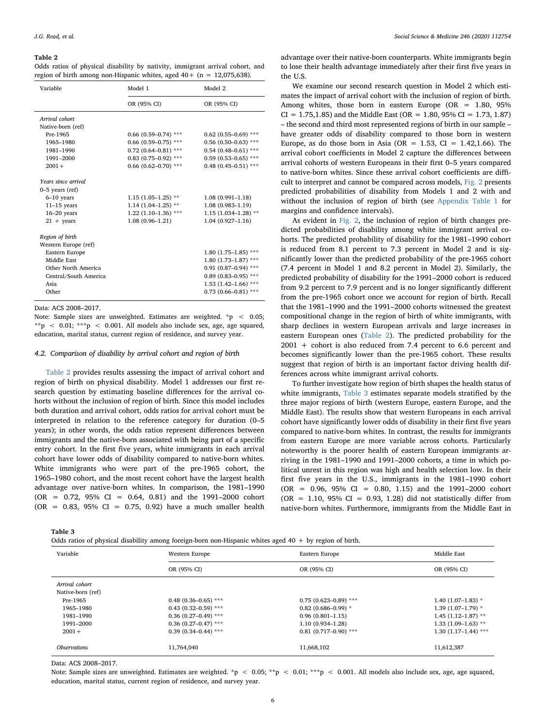#### <span id="page-5-0"></span>Table 2

Odds ratios of physical disability by nativity, immigrant arrival cohort, and region of birth among non-Hispanic whites, aged  $40 + (n = 12,075,638)$ .

| OR (95% CI)<br>OR (95% CI)<br>Arrival cohort<br>Native-born (ref)<br>$0.62$ (0.55-0.69) ***<br>Pre-1965<br>$0.66$ (0.59-0.74) ***<br>1965-1980<br>$0.66$ (0.59-0.75) ***<br>$0.56$ (0.50-0.63) ***<br>$0.72$ (0.64-0.81) ***<br>$0.54(0.48 - 0.61)$ ***<br>1981-1990<br>$0.83$ (0.75-0.92) ***<br>$0.59(0.53 - 0.65)$ ***<br>1991-2000<br>$0.48$ (0.45-0.51) ***<br>$0.66$ (0.62-0.70) ***<br>$2001 +$ |
|--------------------------------------------------------------------------------------------------------------------------------------------------------------------------------------------------------------------------------------------------------------------------------------------------------------------------------------------------------------------------------------------------------|
|                                                                                                                                                                                                                                                                                                                                                                                                        |
|                                                                                                                                                                                                                                                                                                                                                                                                        |
|                                                                                                                                                                                                                                                                                                                                                                                                        |
|                                                                                                                                                                                                                                                                                                                                                                                                        |
|                                                                                                                                                                                                                                                                                                                                                                                                        |
|                                                                                                                                                                                                                                                                                                                                                                                                        |
|                                                                                                                                                                                                                                                                                                                                                                                                        |
|                                                                                                                                                                                                                                                                                                                                                                                                        |
|                                                                                                                                                                                                                                                                                                                                                                                                        |
| Years since arrival                                                                                                                                                                                                                                                                                                                                                                                    |
| 0-5 years (ref)                                                                                                                                                                                                                                                                                                                                                                                        |
| $6-10$ years<br>$1.15(1.05-1.25)$ **<br>$1.08(0.991 - 1.18)$                                                                                                                                                                                                                                                                                                                                           |
| $1.14$ (1.04-1.25) **<br>$11-15$ years<br>$1.08(0.983 - 1.19)$                                                                                                                                                                                                                                                                                                                                         |
| $1.22(1.10-1.36)$ ***<br>$1.15(1.034-1.28)$ **<br>$16-20$ years                                                                                                                                                                                                                                                                                                                                        |
| $1.08(0.96 - 1.21)$<br>$1.04(0.927 - 1.16)$<br>$21 + \text{years}$                                                                                                                                                                                                                                                                                                                                     |
| Region of birth                                                                                                                                                                                                                                                                                                                                                                                        |
| Western Europe (ref)                                                                                                                                                                                                                                                                                                                                                                                   |
| $1.80(1.75-1.85)$ ***<br>Eastern Europe                                                                                                                                                                                                                                                                                                                                                                |
| Middle East<br>$1.80(1.73 - 1.87)$ ***                                                                                                                                                                                                                                                                                                                                                                 |
| $0.91(0.87 - 0.94)$ ***<br>Other North America                                                                                                                                                                                                                                                                                                                                                         |
| $0.89$ (0.83-0.95) ***<br>Central/South America                                                                                                                                                                                                                                                                                                                                                        |
| $1.53(1.42 - 1.66)$ ***<br>Asia                                                                                                                                                                                                                                                                                                                                                                        |
| $0.73(0.66 - 0.81)$ ***<br>Other                                                                                                                                                                                                                                                                                                                                                                       |

Data: ACS 2008–2017.

Note: Sample sizes are unweighted. Estimates are weighted. \*p < 0.05; \*\*p < 0.01; \*\*\*p < 0.001. All models also include sex, age, age squared, education, marital status, current region of residence, and survey year.

#### 4.2. Comparison of disability by arrival cohort and region of birth

[Table 2](#page-5-0) provides results assessing the impact of arrival cohort and region of birth on physical disability. Model 1 addresses our first research question by estimating baseline differences for the arrival cohorts without the inclusion of region of birth. Since this model includes both duration and arrival cohort, odds ratios for arrival cohort must be interpreted in relation to the reference category for duration (0–5 years); in other words, the odds ratios represent differences between immigrants and the native-born associated with being part of a specific entry cohort. In the first five years, white immigrants in each arrival cohort have lower odds of disability compared to native-born whites. White immigrants who were part of the pre-1965 cohort, the 1965–1980 cohort, and the most recent cohort have the largest health advantage over native-born whites. In comparison, the 1981–1990  $(OR = 0.72, 95\% CI = 0.64, 0.81)$  and the 1991–2000 cohort  $(OR = 0.83, 95\% CI = 0.75, 0.92)$  have a much smaller health

<span id="page-5-1"></span>Table 3

Odds ratios of physical disability among foreign-born non-Hispanic whites aged  $40 +$  by region of birth.

advantage over their native-born counterparts. White immigrants begin to lose their health advantage immediately after their first five years in the U.S.

We examine our second research question in Model 2 which estimates the impact of arrival cohort with the inclusion of region of birth. Among whites, those born in eastern Europe (OR = 1.80, 95%  $CI = 1.75, 1.85$  and the Middle East (OR = 1.80, 95% CI = 1.73, 1.87) – the second and third most represented regions of birth in our sample – have greater odds of disability compared to those born in western Europe, as do those born in Asia (OR =  $1.53$ , CI =  $1.42$ , 1.66). The arrival cohort coefficients in Model 2 capture the differences between arrival cohorts of western Europeans in their first 0–5 years compared to native-born whites. Since these arrival cohort coefficients are difficult to interpret and cannot be compared across models, [Fig. 2](#page-6-0) presents predicted probabilities of disability from Models 1 and 2 with and without the inclusion of region of birth (see [Appendix Table 1](#page-7-13) for margins and confidence intervals).

As evident in [Fig. 2](#page-6-0), the inclusion of region of birth changes predicted probabilities of disability among white immigrant arrival cohorts. The predicted probability of disability for the 1981–1990 cohort is reduced from 8.1 percent to 7.3 percent in Model 2 and is significantly lower than the predicted probability of the pre-1965 cohort (7.4 percent in Model 1 and 8.2 percent in Model 2). Similarly, the predicted probability of disability for the 1991–2000 cohort is reduced from 9.2 percent to 7.9 percent and is no longer significantly different from the pre-1965 cohort once we account for region of birth. Recall that the 1981–1990 and the 1991–2000 cohorts witnessed the greatest compositional change in the region of birth of white immigrants, with sharp declines in western European arrivals and large increases in eastern European ones ([Table 2](#page-5-0)). The predicted probability for the 2001 + cohort is also reduced from 7.4 percent to 6.6 percent and becomes significantly lower than the pre-1965 cohort. These results suggest that region of birth is an important factor driving health differences across white immigrant arrival cohorts.

To further investigate how region of birth shapes the health status of white immigrants, [Table 3](#page-5-1) estimates separate models stratified by the three major regions of birth (western Europe, eastern Europe, and the Middle East). The results show that western Europeans in each arrival cohort have significantly lower odds of disability in their first five years compared to native-born whites. In contrast, the results for immigrants from eastern Europe are more variable across cohorts. Particularly noteworthy is the poorer health of eastern European immigrants arriving in the 1981–1990 and 1991–2000 cohorts, a time in which political unrest in this region was high and health selection low. In their first five years in the U.S., immigrants in the 1981–1990 cohort  $(OR = 0.96, 95\% CI = 0.80, 1.15)$  and the 1991–2000 cohort  $(OR = 1.10, 95\% CI = 0.93, 1.28)$  did not statistically differ from native-born whites. Furthermore, immigrants from the Middle East in

| Variable                   | Western Europe          | Eastern Europe           | Middle East           |  |
|----------------------------|-------------------------|--------------------------|-----------------------|--|
|                            | OR (95% CI)             | OR (95% CI)              | OR (95% CI)           |  |
| Arrival cohort             |                         |                          |                       |  |
| Native-born (ref)          |                         |                          |                       |  |
| Pre-1965                   | $0.48$ (0.36-0.65) ***  | $0.75(0.623 - 0.89)$ *** | 1.40 $(1.07-1.83)$ *  |  |
| 1965-1980                  | $0.43$ (0.32-0.59) ***  | $0.82$ (0.686-0.99) *    | $1.39(1.07-1.79)$ *   |  |
| 1981-1990                  | $0.36$ (0.27-0.49) ***  | $0.96(0.801 - 1.15)$     | $1.45$ (1.12-1.87) ** |  |
| 1991-2000                  | $0.36(0.27-0.47)$ ***   | $1.10(0.934 - 1.28)$     | $1.33(1.09-1.63)$ **  |  |
| $2001 +$                   | $0.39(0.34 - 0.44)$ *** | $0.81(0.717-0.90)$ ***   | $1.30(1.17-1.44)$ *** |  |
| <i><b>Observations</b></i> | 11,764,040              | 11,668,102               | 11,612,387            |  |

Data: ACS 2008–2017.

Note: Sample sizes are unweighted. Estimates are weighted. \*p < 0.05; \*\*p < 0.01; \*\*\*p < 0.001. All models also include sex, age, age squared, education, marital status, current region of residence, and survey year.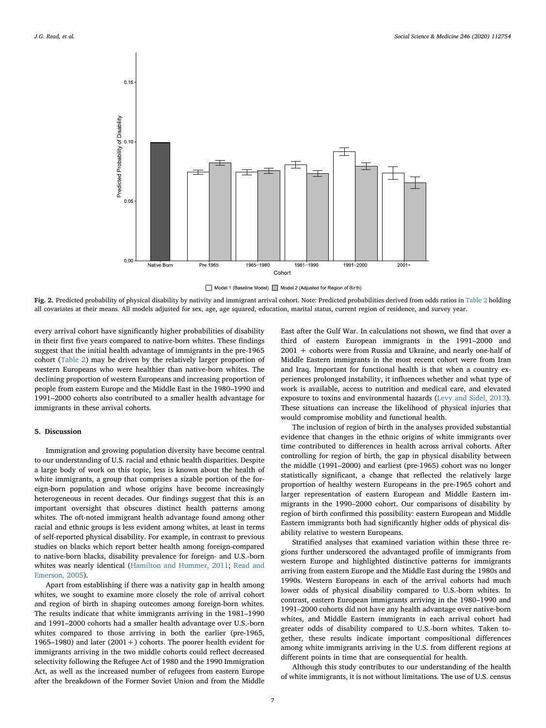<span id="page-6-0"></span>



Fig. 2. Predicted probability of physical disability by nativity and immigrant arrival cohort. Note: Predicted probabilities derived from odds ratios in [Table 2](#page-5-0) holding all covariates at their means. All models adjusted for sex, age, age squared, education, marital status, current region of residence, and survey year.

every arrival cohort have significantly higher probabilities of disability in their first five years compared to native-born whites. These findings suggest that the initial health advantage of immigrants in the pre-1965 cohort [\(Table 2\)](#page-5-0) may be driven by the relatively larger proportion of western Europeans who were healthier than native-born whites. The declining proportion of western Europeans and increasing proportion of people from eastern Europe and the Middle East in the 1980–1990 and 1991–2000 cohorts also contributed to a smaller health advantage for immigrants in these arrival cohorts.

#### 5. Discussion

Immigration and growing population diversity have become central to our understanding of U.S. racial and ethnic health disparities. Despite a large body of work on this topic, less is known about the health of white immigrants, a group that comprises a sizable portion of the foreign-born population and whose origins have become increasingly heterogeneous in recent decades. Our findings suggest that this is an important oversight that obscures distinct health patterns among whites. The oft-noted immigrant health advantage found among other racial and ethnic groups is less evident among whites, at least in terms of self-reported physical disability. For example, in contrast to previous studies on blacks which report better health among foreign-compared to native-born blacks, disability prevalence for foreign- and U.S.-born whites was nearly identical ([Hamilton and Hummer, 2011](#page-8-2); [Read and](#page-8-41) [Emerson, 2005\)](#page-8-41).

Apart from establishing if there was a nativity gap in health among whites, we sought to examine more closely the role of arrival cohort and region of birth in shaping outcomes among foreign-born whites. The results indicate that white immigrants arriving in the 1981–1990 and 1991–2000 cohorts had a smaller health advantage over U.S.-born whites compared to those arriving in both the earlier (pre-1965, 1965–1980) and later  $(2001+)$  cohorts. The poorer health evident for immigrants arriving in the two middle cohorts could reflect decreased selectivity following the Refugee Act of 1980 and the 1990 Immigration Act, as well as the increased number of refugees from eastern Europe after the breakdown of the Former Soviet Union and from the Middle East after the Gulf War. In calculations not shown, we find that over a third of eastern European immigrants in the 1991–2000 and 2001 + cohorts were from Russia and Ukraine, and nearly one-half of Middle Eastern immigrants in the most recent cohort were from Iran and Iraq. Important for functional health is that when a country experiences prolonged instability, it influences whether and what type of work is available, access to nutrition and medical care, and elevated exposure to toxins and environmental hazards [\(Levy and Sidel, 2013](#page-8-42)). These situations can increase the likelihood of physical injuries that would compromise mobility and functional health.

The inclusion of region of birth in the analyses provided substantial evidence that changes in the ethnic origins of white immigrants over time contributed to differences in health across arrival cohorts. After controlling for region of birth, the gap in physical disability between the middle (1991–2000) and earliest (pre-1965) cohort was no longer statistically significant, a change that reflected the relatively large proportion of healthy western Europeans in the pre-1965 cohort and larger representation of eastern European and Middle Eastern immigrants in the 1990–2000 cohort. Our comparisons of disability by region of birth confirmed this possibility: eastern European and Middle Eastern immigrants both had significantly higher odds of physical disability relative to western Europeans.

Stratified analyses that examined variation within these three regions further underscored the advantaged profile of immigrants from western Europe and highlighted distinctive patterns for immigrants arriving from eastern Europe and the Middle East during the 1980s and 1990s. Western Europeans in each of the arrival cohorts had much lower odds of physical disability compared to U.S.-born whites. In contrast, eastern European immigrants arriving in the 1980–1990 and 1991–2000 cohorts did not have any health advantage over native-born whites, and Middle Eastern immigrants in each arrival cohort had greater odds of disability compared to U.S.-born whites. Taken together, these results indicate important compositional differences among white immigrants arriving in the U.S. from different regions at different points in time that are consequential for health.

Although this study contributes to our understanding of the health of white immigrants, it is not without limitations. The use of U.S. census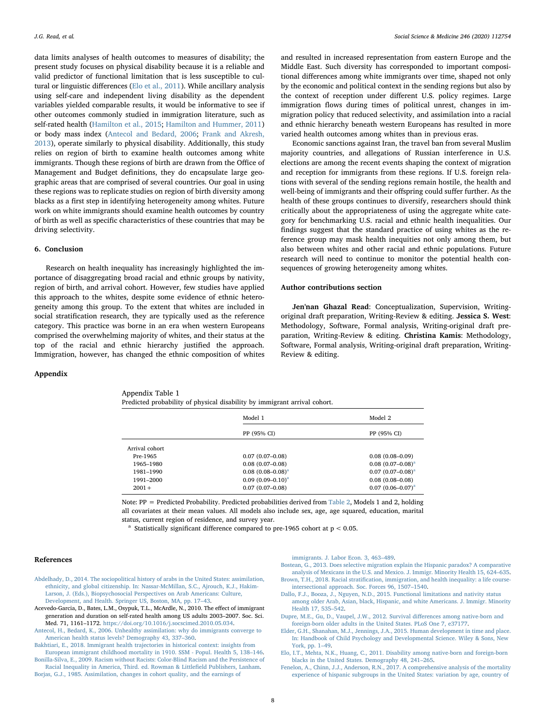data limits analyses of health outcomes to measures of disability; the present study focuses on physical disability because it is a reliable and valid predictor of functional limitation that is less susceptible to cul-tural or linguistic differences [\(Elo et al., 2011\)](#page-7-1). While ancillary analysis using self-care and independent living disability as the dependent variables yielded comparable results, it would be informative to see if other outcomes commonly studied in immigration literature, such as self-rated health ([Hamilton et al., 2015](#page-8-12); [Hamilton and Hummer, 2011\)](#page-8-2) or body mass index ([Antecol and Bedard, 2006;](#page-7-2) [Frank and Akresh,](#page-8-43) [2013\)](#page-8-43), operate similarly to physical disability. Additionally, this study relies on region of birth to examine health outcomes among white immigrants. Though these regions of birth are drawn from the Office of Management and Budget definitions, they do encapsulate large geographic areas that are comprised of several countries. Our goal in using these regions was to replicate studies on region of birth diversity among blacks as a first step in identifying heterogeneity among whites. Future work on white immigrants should examine health outcomes by country of birth as well as specific characteristics of these countries that may be driving selectivity.

#### 6. Conclusion

Research on health inequality has increasingly highlighted the importance of disaggregating broad racial and ethnic groups by nativity, region of birth, and arrival cohort. However, few studies have applied this approach to the whites, despite some evidence of ethnic heterogeneity among this group. To the extent that whites are included in social stratification research, they are typically used as the reference category. This practice was borne in an era when western Europeans comprised the overwhelming majority of whites, and their status at the top of the racial and ethnic hierarchy justified the approach. Immigration, however, has changed the ethnic composition of whites

# <span id="page-7-13"></span>Appendix

Appendix Table 1

|  |  | Predicted probability of physical disability by immigrant arrival cohort. |
|--|--|---------------------------------------------------------------------------|
|  |  |                                                                           |

|                | Model 1                  | Model 2                  |  |
|----------------|--------------------------|--------------------------|--|
|                | PP (95% CI)              | PP (95% CI)              |  |
| Arrival cohort |                          |                          |  |
| Pre-1965       | $0.07(0.07-0.08)$        | $0.08(0.08 - 0.09)$      |  |
| 1965-1980      | $0.08(0.07-0.08)$        | $0.08$ $(0.07-0.08)^a$   |  |
| 1981-1990      | $0.08$ $(0.08 - 0.08)^a$ | $0.07(0.07-0.08)^{a}$    |  |
| 1991-2000      | $0.09(0.09 - 0.10)^a$    | $0.08(0.08 - 0.08)$      |  |
| $2001 +$       | $0.07(0.07-0.08)$        | $0.07$ $(0.06 - 0.07)^a$ |  |

Note: PP = Predicted Probability. Predicted probabilities derived from [Table 2](#page-5-0), Models 1 and 2, holding all covariates at their mean values. All models also include sex, age, age squared, education, marital status, current region of residence, and survey year.

<span id="page-7-14"></span><sup>a</sup> Statistically significant difference compared to pre-1965 cohort at  $p < 0.05$ .

#### References

- <span id="page-7-8"></span>[Abdelhady, D., 2014. The sociopolitical history of arabs in the United States: assimilation,](http://refhub.elsevier.com/S0277-9536(19)30749-X/sref1) [ethnicity, and global citizenship. In: Nassar-McMillan, S.C., Ajrouch, K.J., Hakim-](http://refhub.elsevier.com/S0277-9536(19)30749-X/sref1)[Larson, J. \(Eds.\), Biopsychosocial Perspectives on Arab Americans: Culture,](http://refhub.elsevier.com/S0277-9536(19)30749-X/sref1) [Development, and Health. Springer US, Boston, MA, pp. 17](http://refhub.elsevier.com/S0277-9536(19)30749-X/sref1)–43.
- <span id="page-7-0"></span>Acevedo-Garcia, D., Bates, L.M., Osypuk, T.L., McArdle, N., 2010. The effect of immigrant generation and duration on self-rated health among US adults 2003–2007. Soc. Sci. Med. 71, 1161–1172. <https://doi.org/10.1016/j.socscimed.2010.05.034>.
- <span id="page-7-2"></span>[Antecol, H., Bedard, K., 2006. Unhealthy assimilation: why do immigrants converge to](http://refhub.elsevier.com/S0277-9536(19)30749-X/sref3) [American health status levels? Demography 43, 337](http://refhub.elsevier.com/S0277-9536(19)30749-X/sref3)–360.

<span id="page-7-7"></span>[Bakhtiari, E., 2018. Immigrant health trajectories in historical context: insights from](http://refhub.elsevier.com/S0277-9536(19)30749-X/sref4) [European immigrant childhood mortality in 1910. SSM - Popul. Health 5, 138](http://refhub.elsevier.com/S0277-9536(19)30749-X/sref4)–146. [Bonilla-Silva, E., 2009. Racism without Racists: Color-Blind Racism and the Persistence of](http://refhub.elsevier.com/S0277-9536(19)30749-X/sref5)

<span id="page-7-12"></span><span id="page-7-11"></span>[Racial Inequality in America, Third. ed. Rowman & Little](http://refhub.elsevier.com/S0277-9536(19)30749-X/sref5)field Publishers, Lanham. [Borjas, G.J., 1985. Assimilation, changes in cohort quality, and the earnings of](http://refhub.elsevier.com/S0277-9536(19)30749-X/sref6)

[immigrants. J. Labor Econ. 3, 463](http://refhub.elsevier.com/S0277-9536(19)30749-X/sref6)–489.

<span id="page-7-6"></span>[Bostean, G., 2013. Does selective migration explain the Hispanic paradox? A comparative](http://refhub.elsevier.com/S0277-9536(19)30749-X/sref7) [analysis of Mexicans in the U.S. and Mexico. J. Immigr. Minority Health 15, 624](http://refhub.elsevier.com/S0277-9536(19)30749-X/sref7)–635.

- <span id="page-7-4"></span>Brown, T.H., 2018. Racial stratifi[cation, immigration, and health inequality: a life course](http://refhub.elsevier.com/S0277-9536(19)30749-X/sref8)[intersectional approach. Soc. Forces 96, 1507](http://refhub.elsevier.com/S0277-9536(19)30749-X/sref8)–1540.
- <span id="page-7-10"></span>[Dallo, F.J., Booza, J., Nguyen, N.D., 2015. Functional limitations and nativity status](http://refhub.elsevier.com/S0277-9536(19)30749-X/sref10) [among older Arab, Asian, black, Hispanic, and white Americans. J. Immigr. Minority](http://refhub.elsevier.com/S0277-9536(19)30749-X/sref10) [Health 17, 535](http://refhub.elsevier.com/S0277-9536(19)30749-X/sref10)–542.
- <span id="page-7-9"></span>[Dupre, M.E., Gu, D., Vaupel, J.W., 2012. Survival di](http://refhub.elsevier.com/S0277-9536(19)30749-X/sref11)fferences among native-born and [foreign-born older adults in the United States. PLoS One 7, e37177](http://refhub.elsevier.com/S0277-9536(19)30749-X/sref11).
- <span id="page-7-5"></span>[Elder, G.H., Shanahan, M.J., Jennings, J.A., 2015. Human development in time and place.](http://refhub.elsevier.com/S0277-9536(19)30749-X/sref12) [In: Handbook of Child Psychology and Developmental Science. Wiley & Sons, New](http://refhub.elsevier.com/S0277-9536(19)30749-X/sref12) [York, pp. 1](http://refhub.elsevier.com/S0277-9536(19)30749-X/sref12)–49.
- <span id="page-7-1"></span>[Elo, I.T., Mehta, N.K., Huang, C., 2011. Disability among native-born and foreign-born](http://refhub.elsevier.com/S0277-9536(19)30749-X/sref13) [blacks in the United States. Demography 48, 241](http://refhub.elsevier.com/S0277-9536(19)30749-X/sref13)–265.
- <span id="page-7-3"></span>[Fenelon, A., Chinn, J.J., Anderson, R.N., 2017. A comprehensive analysis of the mortality](http://refhub.elsevier.com/S0277-9536(19)30749-X/sref14) [experience of hispanic subgroups in the United States: variation by age, country of](http://refhub.elsevier.com/S0277-9536(19)30749-X/sref14)

and resulted in increased representation from eastern Europe and the Middle East. Such diversity has corresponded to important compositional differences among white immigrants over time, shaped not only by the economic and political context in the sending regions but also by the context of reception under different U.S. policy regimes. Large immigration flows during times of political unrest, changes in immigration policy that reduced selectivity, and assimilation into a racial and ethnic hierarchy beneath western Europeans has resulted in more varied health outcomes among whites than in previous eras.

Economic sanctions against Iran, the travel ban from several Muslim majority countries, and allegations of Russian interference in U.S. elections are among the recent events shaping the context of migration and reception for immigrants from these regions. If U.S. foreign relations with several of the sending regions remain hostile, the health and well-being of immigrants and their offspring could suffer further. As the health of these groups continues to diversify, researchers should think critically about the appropriateness of using the aggregate white category for benchmarking U.S. racial and ethnic health inequalities. Our findings suggest that the standard practice of using whites as the reference group may mask health inequities not only among them, but also between whites and other racial and ethnic populations. Future research will need to continue to monitor the potential health consequences of growing heterogeneity among whites.

# Author contributions section

Jen'nan Ghazal Read: Conceptualization, Supervision, Writingoriginal draft preparation, Writing-Review & editing. Jessica S. West: Methodology, Software, Formal analysis, Writing-original draft preparation, Writing-Review & editing. Christina Kamis: Methodology, Software, Formal analysis, Writing-original draft preparation, Writing-Review & editing.